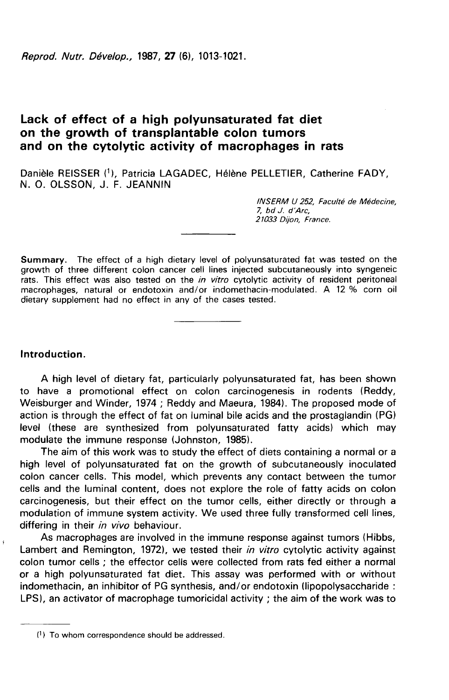Reprod. Nutr. Dévelop., 1987, 27 (6), 1013-1021.

# Lack of effect of a high polyunsaturated fat diet on the growth of transplantable colon tumors and on the cytolytic activity of macrophages in rats

Danièle REISSER (1), Patricia LAGADEC, Hélène PELLETIER, Catherine FADY, N. O. OLSSON, J. F. JEANNIN

> INSERM U 252, Faculté de Médecine, 7, bd J. d'Arc, 21033 Dijon, France.

**Summary.** The effect of a high dietary level of polyunsaturated fat was tested on the growth of three different colon cancer cell lines injected subcutaneously into syngeneic rats. This effect was also tested on the *in vitro* cytolytic activity of resident peritoneal macrophages, natural or endotoxin and/or indomethacin-modulated. A 12 % corn oil dietary supplement had no effect in any of the cases tested.

### Introduction.

 $\ddot{\mathrm{r}}$ 

A high level of dietary fat, particularly polyunsaturated fat, has been shown to have a promotional effect on colon carcinogenesis in rodents (Reddy, Weisburger and Winder, 1974 ; Reddy and Maeura, 1984). The proposed mode of action is through the effect of fat on luminal bile acids and the prostaglandin (PG) level (these are synthesized from polyunsaturated fatty acids) which may modulate the immune response (Johnston, 1985).

The aim of this work was to study the effect of diets containing a normal or a high level of polyunsaturated fat on the growth of subcutaneously inoculated colon cancer cells. This model, which prevents any contact between the tumor cells and the luminal content, does not explore the role of fatty acids on colon carcinogenesis, but their effect on the tumor cells, either directly or through a modulation of immune system activity. We used three fully transformed cell lines, differing in their in vivo behaviour.

As macrophages are involved in the immune response against tumors (Hibbs, Lambert and Remington, 1972), we tested their in vitro cytolytic activity against colon tumor cells ; the effector cells were collected from rats fed either a normal or a high polyunsaturated fat diet. This assay was performed with or without indomethacin, an inhibitor of PG synthesis, and/or endotoxin (lipopolysaccharide : LPS), an activator of macrophage tumoricidal activity ; the aim of the work was to

<sup>(1)</sup> To whom correspondence should be addressed.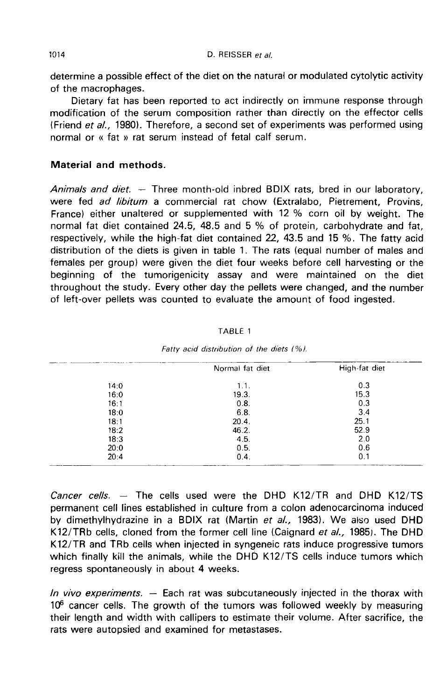determine a possible effect of the diet on the natural or modulated cytolytic activity of the macrophages.

Dietary fat has been reported to act indirectly on immune response through modification of the serum composition rather than directly on the effector cells (Friend et al., 1980). Therefore, a second set of experiments was performed using normal or « fat » rat serum instead of fetal calf serum.

## Material and methods.

Animals and diet.  $-$  Three month-old inbred BDIX rats, bred in our laboratory, were fed ad libitum a commercial rat chow (Extralabo, Pietrement, Provins, France) either unaltered or supplemented with 12 % corn oil by weight. The normal fat diet contained 24.5, 48.5 and 5 % of protein, carbohydrate and fat, respectively, while the high-fat diet contained 22, 43.5 and 15 %. The fatty acid distribution of the diets is given in table 1. The rats (equal number of males and females per group) were given the diet four weeks before cell harvesting or the beginning of the tumorigenicity assay and were maintained on the diet throughout the study. Every other day the pellets were changed, and the number of left-over pellets was counted to evaluate the amount of food ingested.

|      | Normal fat diet | High-fat diet |
|------|-----------------|---------------|
| 14:0 | 1.1.            | 0.3           |
| 16:0 | 19.3.           | 15.3          |
| 16:1 | 0.8.            | 0.3           |
| 18:0 | 6.8.            | 3.4           |
| 18:1 | 20.4.           | 25.1          |
| 18:2 | 46.2.           | 52.9          |
| 18:3 | 4.5.            | 2.0           |
| 20:0 | 0.5.            | 0.6           |
| 20:4 | 0.4.            | 0.1           |

TABLE 1

|  | Fatty acid distribution of the diets (%). |  |  |
|--|-------------------------------------------|--|--|
|  |                                           |  |  |

Cancer cells.  $-$  The cells used were the DHD K12/TR and DHD K12/TS permanent cell lines established in culture from a colon adenocarcinoma induced by dimethylhydrazine in a BDIX rat (Martin et al., 1983). We also used DHD K12/TRb cells, cloned from the former cell line (Caignard et al., 1985). The DHD K12/TR and TRb cells when injected in syngeneic rats induce progressive tumors which finally kill the animals, while the DHD K12/TS cells induce tumors which regress spontaneously in about 4 weeks.

In vivo experiments.  $-$  Each rat was subcutaneously injected in the thorax with  $10<sup>6</sup>$  cancer cells. The growth of the tumors was followed weekly by measuring their length and width with callipers to estimate their volume. After sacrifice, the rats were autopsied and examined for metastases.

1014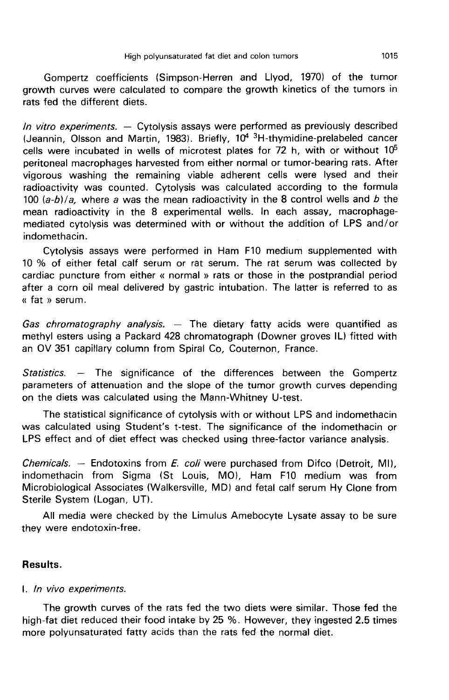Gompertz coefficients (Simpson-Herren and Llyod, 1970) of the tumor growth curves were calculated to compare the growth kinetics of the tumors in rats fed the different diets.

*In vitro experiments.* - Cytolysis assays were performed as previously described (Jeannin, Olsson and Martin, 1983). Briefly,  $10^4$ <sup>3</sup>H-thymidine-prelabeled cancer High polyunsaturated fat diet and colon tumors<br>
Gompertz coefficients (Simpson-Herren and Llyod, 1970) of the tumor<br>
growth curves were calculated to compare the growth kinetics of the tumors in<br>
trats fed the different di cells were incubated in wells of microtest plates for 72 h, with or without  $10<sup>5</sup>$ peritoneal macrophages harvested from either normal or tumor-bearing rats. After vigorous washing the remaining viable adherent cells were lysed and their radioactivity was counted. Cytolysis was calculated according to the formula 100  $(a-b)/a$ , where a was the mean radioactivity in the 8 control wells and b the mean radioactivity in the 8 experimental wells. In each assay, macrophagemediated cytolysis was determined with or without the addition of LPS and/or indomethacin.

Cytolysis assays were performed in Ham F10 medium supplemented with 10 % of either fetal calf serum or rat serum. The rat serum was collected by cardiac puncture from either « normal » rats or those in the postprandial period after a corn oil meal delivered by gastric intubation. The latter is referred to as « fat » serum.

Gas chromatography analysis.  $-$  The dietary fatty acids were quantified as methyl esters using a Packard 428 chromatograph (Downer groves IL) fitted with an OV 351 capillary column from Spiral Co, Couternon, France.

Statistics. - The significance of the differences between the Gompertz parameters of attenuation and the slope of the tumor growth curves depending on the diets was calculated using the Mann-Whitney U-test.

The statistical significance of cytolysis with or without LPS and indomethacin was calculated using Student's t-test. The significance of the indomethacin or LPS effect and of diet effect was checked using three-factor variance analysis.

Chemicals.  $-$  Endotoxins from E. coli were purchased from Difco (Detroit, MI), indomethacin from Sigma (St Louis, MO), Ham F10 medium was from Microbiological Associates (Walkersville, MD) and fetal calf serum Hy Clone from Sterile System (Logan, UT).

All media were checked by the Limulus Amebocyte Lysate assay to be sure they were endotoxin-free.

## Results.

### I. ln vivo experiments.

The growth curves of the rats fed the two diets were similar. Those fed the high-fat diet reduced their food intake by 25 %. However, they ingested 2.5 times more polyunsaturated fatty acids than the rats fed the normal diet.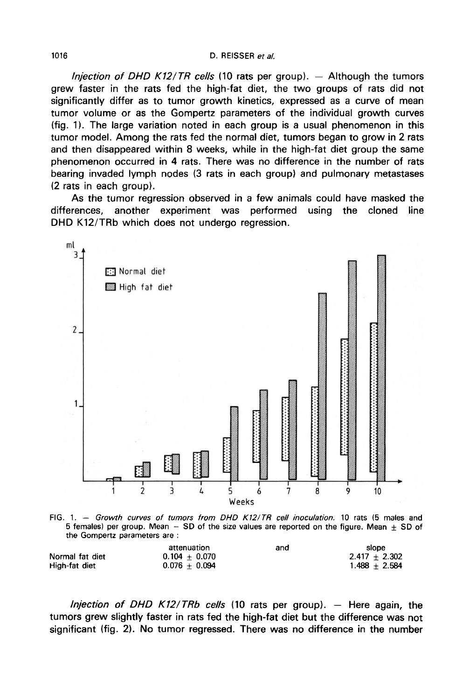*lniection of DHD K12/TR cells* (10 rats per group).  $-$  Although the tumors grew faster in the rats fed the high-fat diet, the two groups of rats did not significantly differ as to tumor growth kinetics, expressed as a curve of mean tumor volume or as the Gompertz parameters of the individual growth curves (fig. 1). The large variation noted in each group is a usual phenomenon in this tumor model. Among the rats fed the normal diet, tumors began to grow in 2 rats and then disappeared within 8 weeks, while in the high-fat diet group the same phenomenon occurred in 4 rats. There was no difference in the number of rats bearing invaded lymph nodes (3 rats in each group) and pulmonary metastases (2 rats in each group).

As the tumor regression observed in a few animals could have masked the differences. another experiment was performed using the cloned line another experiment was DHD K12/TRb which does not undergo regression.



FIG. 1. - Growth curves of tumors from DHD K12/TR cell inoculation. 10 rats (5 males and 5 females) per group. Mean  $-$  SD of the size values are reported on the figure. Mean  $\pm$  SD of the Gompertz parameters are :

|                 | attenuation     | and | slope           |
|-----------------|-----------------|-----|-----------------|
| Normal fat diet | $0.104 + 0.070$ |     | $2.417 + 2.302$ |
| High-fat diet   | $0.076 + 0.094$ |     | $1.488 + 2.584$ |

Injection of DHD K12/TRb cells (10 rats per group).  $-$  Here again, the tumors grew slightly faster in rats fed the high-fat diet but the difference was not significant (fig. 2). No tumor regressed. There was no difference in the number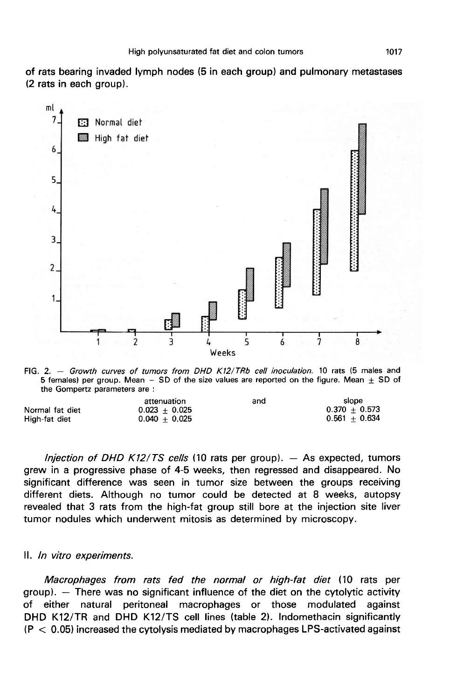of rats bearing invaded lymph nodes (5 in each group) and pulmonary metastases (2 rats in each group).



FIG. 2. - Growth curves of tumors from DHD K12/TRb cell inoculation. 10 rats (5 males and 5 females) per group. Mean  $-$  SD of the size values are reported on the figure. Mean  $\pm$  SD of the Gompertz parameters are :

|                 | attenuation     | and | siope           |
|-----------------|-----------------|-----|-----------------|
| Normal fat diet | $0.023 + 0.025$ |     | $0.370 + 0.573$ |
| High-fat diet   | $0.040 + 0.025$ |     | $0.561 + 0.634$ |

*lnjection of DHD K12/TS cells* (10 rats per group).  $-$  As expected, tumors grew in a progressive phase of 4-5 weeks, then regressed and disappeared. No significant difference was seen in tumor size between the groups receiving different diets. Although no tumor could be detected at 8 weeks, autopsy revealed that 3 rats from the high-fat group still bore at the injection site liver tumor nodules which underwent mitosis as determined by microscopy.

#### II. In vitro experiments.

Macrophages from rats fed the normal or high-fat diet (10 rats per  $group)$ .  $-$  There was no significant influence of the diet on the cytolytic activity of either natural peritoneal macrophages or those modulated against DHD K12/TR and DHD K12/TS cell lines (table 2). Indomethacin significantly  $(P < 0.05)$  increased the cytolysis mediated by macrophages LPS-activated against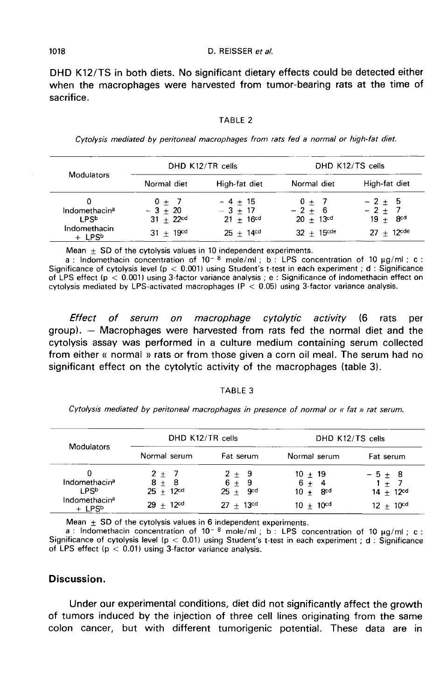DHD K12/TS in both diets. No significant dietary effects could be detected either when the macrophages were harvested from tumor-bearing rats at the time of sacrifice.

|  | TABLE |  |  |  |  |
|--|-------|--|--|--|--|
|--|-------|--|--|--|--|

Cytolysis mediated by peritoneal macrophages from rats fed a normal or high-fat diet.

| <b>Modulators</b>                              | DHD K12/TR cells                       |                                                 | DHD K12/TS cells                  |                                     |  |
|------------------------------------------------|----------------------------------------|-------------------------------------------------|-----------------------------------|-------------------------------------|--|
|                                                | Normal diet                            | High-fat diet                                   | Normal diet                       | High-fat diet                       |  |
| Indomethacin <sup>a</sup><br>I PS <sub>b</sub> | $0 + 7$<br>$-3 + 20$<br>$31 + 22^{cd}$ | $-4+15$<br>$-3 + 17$<br>$21 + 16$ <sup>cd</sup> | $0 + 7$<br>$-2+6$<br>$20 + 13$ cd | $-2+5$<br>$-2 + 7$<br>8cd<br>$19 +$ |  |
| Indomethacin<br>$+$ LPS <sup>b</sup>           | $31 + 19$ <sup>cd</sup>                | $25 + 14^{cd}$                                  | $32 + 15$ <sup>cde</sup>          | $27 + 12$ cde                       |  |

Mean  $\pm$  SD of the cytolysis values in 10 independent experiments.

a: Indomethacin concentration of  $10^{-8}$  mole/ml; b: LPS concentration of 10  $\mu q/ml$ ; c: Significance of cytolysis level ( $p < 0.001$ ) using Student's t-test in each experiment; d : Significance of LPS effect ( $p < 0.001$ ) using 3-factor variance analysis ; e : Significance of indomethacin effect on cytolysis mediated by LPS-activated macrophages ( $P < 0.05$ ) using 3-factor variance analysis.

Effect of serum on macrophage cytolytic activity (6 rats per  $group)$ .  $-$  Macrophages were harvested from rats fed the normal diet and the cytolysis assay was performed in a culture medium containing serum collected from either « normal » rats or from those given a corn oil meal. The serum had no significant effect on the cytolytic activity of the macrophages (table 3).

#### TABLE 3

Cytolysis mediated by peritoneal macrophages in presence of normal or « fat » rat serum.

| <b>Modulators</b>                                                                       | DHD K12/TR cells                                       |                                                       | DHD K12/TS cells                                            |                                                       |  |
|-----------------------------------------------------------------------------------------|--------------------------------------------------------|-------------------------------------------------------|-------------------------------------------------------------|-------------------------------------------------------|--|
|                                                                                         | Normal serum                                           | Fat serum                                             | Normal serum                                                | Fat serum                                             |  |
| Indomethacin <sup>a</sup><br>LPS <sup>b</sup><br>Indomethacina<br>$+$ 1 PS <sub>b</sub> | $2 + 7$<br>$8 + 8$<br>$25 + 12^{cd}$<br>$29 + 12^{cd}$ | $2 + 9$<br>$6 + 9$<br>gcd<br>$25 +$<br>$27 + 13^{cd}$ | $10 + 19$<br>$6 +$<br>-4<br>8cq<br>$10 +$<br>$10 + 10^{cd}$ | $-5+8$<br>$1 + 7$<br>$14 + 12^{cd}$<br>$12 + 10^{cd}$ |  |

Mean  $\pm$  SD of the cytolysis values in 6 independent experiments.

a : Indomethacin concentration of  $10^{-8}$  mole/ml; b : LPS concentration of 10  $\mu$ g/ml; c : Significance of cytolysis level ( $p < 0.01$ ) using Student's t-test in each experiment; d: Significance of LPS effect ( $p < 0.01$ ) using 3-factor variance analysis.

#### Discussion.

Under our experimental conditions, diet did not significantly affect the growth of tumors induced by the injection of three cell lines originating from the same colon cancer, but with different tumorigenic potential. These data are in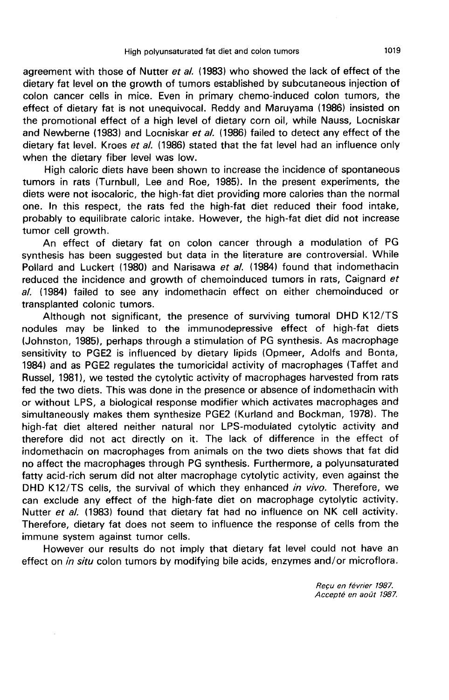agreement with those of Nutter et al. (1983) who showed the lack of effect of the dietary fat level on the growth of tumors established by subcutaneous injection of colon cancer cells in mice. Even in primary chemo-induced colon tumors, the effect of dietary fat is not unequivocal. Reddy and Maruyama (1986) insisted on the promotional effect of a high level of dietary corn oil, while Nauss, Locniskar and Newberne (1983) and Locniskar et al. (1986) failed to detect any effect of the dietary fat level. Kroes et al. (1986) stated that the fat level had an influence only when the dietary fiber level was low.

High caloric diets have been shown to increase the incidence of spontaneous tumors in rats (Turnbull, Lee and Roe, 1985). In the present experiments, the diets were not isocaloric, the high-fat diet providing more calories than the normal one. In this respect, the rats fed the high-fat diet reduced their food intake, probably to equilibrate caloric intake. However, the high-fat diet did not increase tumor cell growth.

An effect of dietary fat on colon cancer through a modulation of PG synthesis has been suggested but data in the literature are controversial. While Pollard and Luckert (1980) and Narisawa et al. (1984) found that indomethacin reduced the incidence and growth of chemoinduced tumors in rats, Caignard et al. (1984) failed to see any indomethacin effect on either chemoinduced or transplanted colonic tumors.

Although not significant, the presence of surviving tumoral DHD K12/TS nodules may be linked to the immunodepressive effect of high-fat diets (Johnston, 1985), perhaps through a stimulation of PG synthesis. As macrophage sensitivity to PGE2 is influenced by dietary lipids (Opmeer, Adolfs and Bonta, 1984) and as PGE2 regulates the tumoricidal activity of macrophages (Taffet and Russel, 19811, we tested the cytolytic activity of macrophages harvested from rats fed the two diets. This was done in the presence or absence of indomethacin with or without LPS, a biological response modifier which activates macrophages and simultaneously makes them synthesize PGE2 (Kurland and Bockman, 1978). The high-fat diet altered neither natural nor LPS-modulated cytolytic activity and therefore did not act directly on it. The lack of difference in the effect of indomethacin on macrophages from animals on the two diets shows that fat did no affect the macrophages through PG synthesis. Furthermore, a polyunsaturated fatty acid-rich serum did not alter macrophage cytolytic activity, even against the DHD K12/TS cells, the survival of which they enhanced in vivo. Therefore, we can exclude any effect of the high-fate diet on macrophage cytolytic activity. Nutter et al. (1983) found that dietary fat had no influence on NK cell activity. Therefore, dietary fat does not seem to influence the response of cells from the immune system against tumor cells.

However our results do not imply that dietary fat level could not have an effect on *in situ* colon tumors by modifying bile acids, enzymes and/or microflora.

> Recu en fevrier 1987. Accepté en août 1987.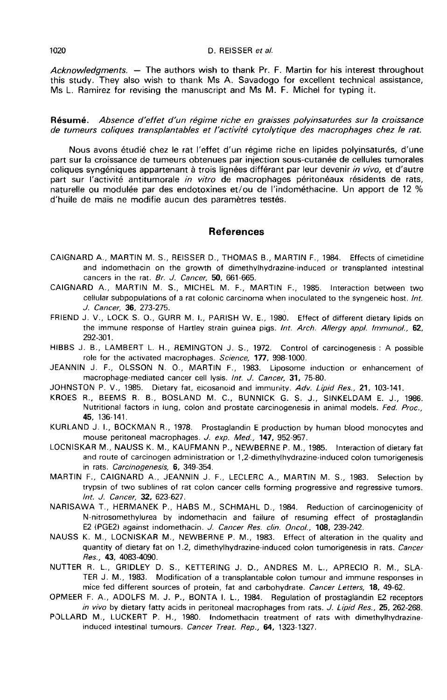Acknowledaments.  $-$  The authors wish to thank Pr. F. Martin for his interest throughout this study. They also wish to thank Ms A. Savadogo for excellent technical assistance, Ms L. Ramirez for revising the manuscript and Ms M. F. Michel for typing it.

Résumé. Absence d'effet d'un régime riche en graisses polyinsaturées sur la croissance de tumeurs coliques transplantables et l âctivüé cytolytique des macrophages chez le rat.

Nous avons étudié chez le rat l'effet d'un régime riche en lipides polyinsaturés, d'une part sur la croissance de tumeurs obtenues par injection sous-cutanée de cellules tumorales coliques syngéniques appartenant à trois lignées différant par leur devenir in vivo, et d'autre part sur l'activité antitumorale in vitro de macrophages péritonéaux résidents de rats, naturelle ou modulée par des endotoxines et/ou de l'indométhacine. Un apport de 12 % d'huile de maïs ne modifie aucun des paramètres testés.

#### References

- CAIGNARD A., MARTIN M. S., REISSER D., THOMAS B., MARTIN F., 1984. Effects of cimetidine and indomethacin on the growth of dimethylhydrazine-induced or transplanted intestinal cancers in the rat. Br. J. Cancer, 50, 661-665.
- CAIGNARD A., MARTIN M. S., MICHEL M. F., MARTIN F., 1985. Interaction between two cellular subpopulations of a rat colonic carcinoma when inoculated to the syngeneic host. Int. J. Cancer, 36, 273-275.
- FRIEND J. V., LOCK S. 0., GURR M. I., PARISH W. E., 1980. Effect of different dietary lipids on the immune response of Hartley strain guinea pigs. Int. Arch. Allergy appl. Immunol., 62, 292-301.
- HIBBS J. B., LAMBERT L. H., REMINGTON J. S., 1972. Control of carcinogenesis : A possible role for the activated macrophages. Science, 177, 998-1000.
- JEANNIN J. F., OLSSON N. 0., MARTIN F., 1983. Liposome induction or enhancement of macrophage-mediated cancer cell lysis. Int. J. Cancer, 31, 75-80.
- JOHNSTON P. V., 1985. Dietary fat, eicosanoid and immunity. Adv. Lipid Res., 21, 103-141.
- KROES R., BEEMS R. B., BOSLAND M. C., BUNNICK G. S. J., SINKELDAM E. J., 1986. Nutritional factors in lung, colon and prostate carcinogenesis in animal models. Fed. Proc., 45, 136-141.
- KURLAND J. I., BOCKMAN R., 1978. Prostaglandin E production by human blood monocytes and mouse peritoneal macrophages. J. exp. Med., 147, 952-957.
- LOCNISKAR M., NAUSS K. M., KAUFMANN P., NEWBERNE P. M., 1985. Interaction of dietary fat and route of carcinogen administration or 1,2-dimethylhydrazine-induced colon tumorigenesis in rats. Carcinogenesis, 6, 349-354.
- MARTIN F., CAIGNARD A., JEANNIN J. F., LECLERC A., MARTIN M. S., 1983. Selection by trypsin of two sublines of rat colon cancer cells forming progressive and regressive tumors. Int. J. Cancer, 32, 623-627.
- NARISAWA T., HERMANEK P., HABS M., SCHMAHL D., 1984. Reduction of carcinogenicity of N-nitrosomethylurea by indomethacin and failure of resuming effect of prostaglandin E2 (PGE2) against indomethacin. J. Cancer Res. clin. Oncol., 108, 239-242.
- NAUSS K. M., LOCNISKAR M., NEWBERNE P. M., 1983. Effect of alteration in the quality and quantity of dietary fat on 1.2, dimethylhydrazine-induced colon tumorigenesis in rats. Cancer Res., 43, 4083-4090.
- NUTTER R. L., GRIDLEY D. S., KETTERING J. D., ANDRES M. L., APRECIO R. M., SLA-TER J. M., 1983. Modification of a transplantable colon tumour and immune responses in mice fed different sources of protein, fat and carbohydrate. Cancer Letters, 18, 49-62.
- OPMEER F. A., ADOLFS M. J. P., BONTA I. L., 1984. Regulation of prostaglandin E2 receptors in vivo by dietary fatty acids in peritoneal macrophages from rats. J. Lipid Res., 25, 262-268.
- POLLARD M., LUCKERT P. H., 1980. Indomethacin treatment of rats with dimethylhydrazineinduced intestinal tumours. Cancer Treat. Rep., 64, 1323-1327.